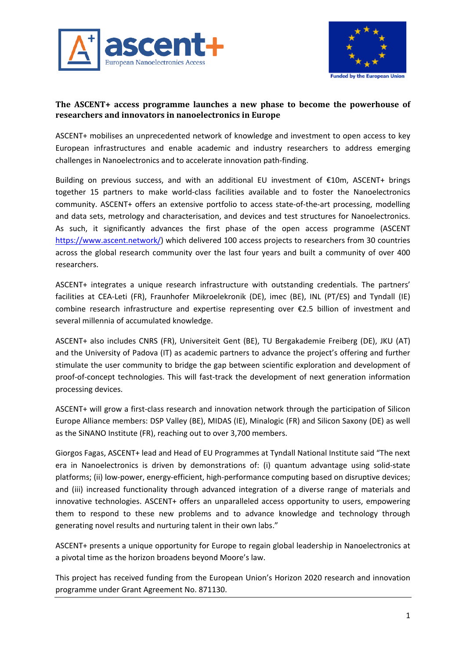



# **The ASCENT+ access programme launches a new phase to become the powerhouse of researchers and innovators in nanoelectronics in Europe**

ASCENT+ mobilises an unprecedented network of knowledge and investment to open access to key European infrastructures and enable academic and industry researchers to address emerging challenges in Nanoelectronics and to accelerate innovation path-finding.

Building on previous success, and with an additional EU investment of €10m, ASCENT+ brings together 15 partners to make world-class facilities available and to foster the Nanoelectronics community. ASCENT+ offers an extensive portfolio to access state-of-the-art processing, modelling and data sets, metrology and characterisation, and devices and test structures for Nanoelectronics. As such, it significantly advances the first phase of the open access programme (ASCENT https://www.ascent.network/) which delivered 100 access projects to researchers from 30 countries across the global research community over the last four years and built a community of over 400 researchers.

ASCENT+ integrates a unique research infrastructure with outstanding credentials. The partners' facilities at CEA-Leti (FR), Fraunhofer Mikroelekronik (DE), imec (BE), INL (PT/ES) and Tyndall (IE) combine research infrastructure and expertise representing over €2.5 billion of investment and several millennia of accumulated knowledge.

ASCENT+ also includes CNRS (FR), Universiteit Gent (BE), TU Bergakademie Freiberg (DE), JKU (AT) and the University of Padova (IT) as academic partners to advance the project's offering and further stimulate the user community to bridge the gap between scientific exploration and development of proof-of-concept technologies. This will fast-track the development of next generation information processing devices.

ASCENT+ will grow a first-class research and innovation network through the participation of Silicon Europe Alliance members: DSP Valley (BE), MIDAS (IE), Minalogic (FR) and Silicon Saxony (DE) as well as the SiNANO Institute (FR), reaching out to over 3,700 members.

Giorgos Fagas, ASCENT+ lead and Head of EU Programmes at Tyndall National Institute said "The next era in Nanoelectronics is driven by demonstrations of: (i) quantum advantage using solid-state platforms; (ii) low-power, energy-efficient, high-performance computing based on disruptive devices; and (iii) increased functionality through advanced integration of a diverse range of materials and innovative technologies. ASCENT+ offers an unparalleled access opportunity to users, empowering them to respond to these new problems and to advance knowledge and technology through generating novel results and nurturing talent in their own labs."

ASCENT+ presents a unique opportunity for Europe to regain global leadership in Nanoelectronics at a pivotal time as the horizon broadens beyond Moore's law.

This project has received funding from the European Union's Horizon 2020 research and innovation programme under Grant Agreement No. 871130.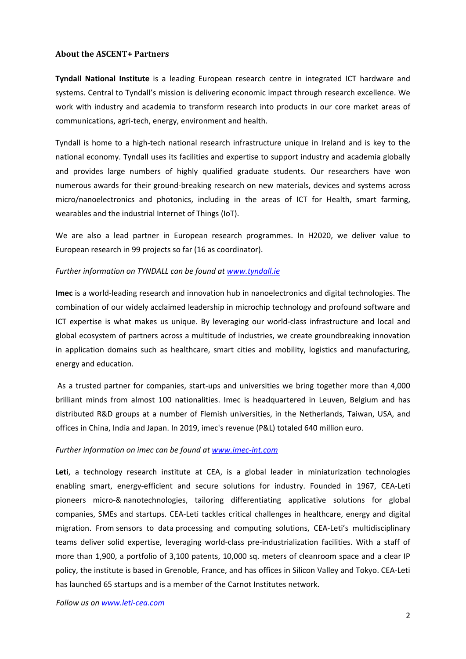#### **About the ASCENT+ Partners**

**Tyndall National Institute** is a leading European research centre in integrated ICT hardware and systems. Central to Tyndall's mission is delivering economic impact through research excellence. We work with industry and academia to transform research into products in our core market areas of communications, agri-tech, energy, environment and health.

Tyndall is home to a high-tech national research infrastructure unique in Ireland and is key to the national economy. Tyndall uses its facilities and expertise to support industry and academia globally and provides large numbers of highly qualified graduate students. Our researchers have won numerous awards for their ground-breaking research on new materials, devices and systems across micro/nanoelectronics and photonics, including in the areas of ICT for Health, smart farming, wearables and the industrial Internet of Things (IoT).

We are also a lead partner in European research programmes. In H2020, we deliver value to European research in 99 projects so far (16 as coordinator).

# *Further information on TYNDALL can be found at www.tyndall.ie*

**Imec** is a world-leading research and innovation hub in nanoelectronics and digital technologies. The combination of our widely acclaimed leadership in microchip technology and profound software and ICT expertise is what makes us unique. By leveraging our world-class infrastructure and local and global ecosystem of partners across a multitude of industries, we create groundbreaking innovation in application domains such as healthcare, smart cities and mobility, logistics and manufacturing, energy and education.

 As a trusted partner for companies, start-ups and universities we bring together more than 4,000 brilliant minds from almost 100 nationalities. Imec is headquartered in Leuven, Belgium and has distributed R&D groups at a number of Flemish universities, in the Netherlands, Taiwan, USA, and offices in China, India and Japan. In 2019, imec's revenue (P&L) totaled 640 million euro.

# *Further information on imec can be found at www.imec-int.com*

Leti, a technology research institute at CEA, is a global leader in miniaturization technologies enabling smart, energy-efficient and secure solutions for industry. Founded in 1967, CEA-Leti pioneers micro-& nanotechnologies, tailoring differentiating applicative solutions for global companies, SMEs and startups. CEA-Leti tackles critical challenges in healthcare, energy and digital migration. From sensors to data processing and computing solutions, CEA-Leti's multidisciplinary teams deliver solid expertise, leveraging world-class pre-industrialization facilities. With a staff of more than 1,900, a portfolio of 3,100 patents, 10,000 sq. meters of cleanroom space and a clear IP policy, the institute is based in Grenoble, France, and has offices in Silicon Valley and Tokyo. CEA-Leti has launched 65 startups and is a member of the Carnot Institutes network.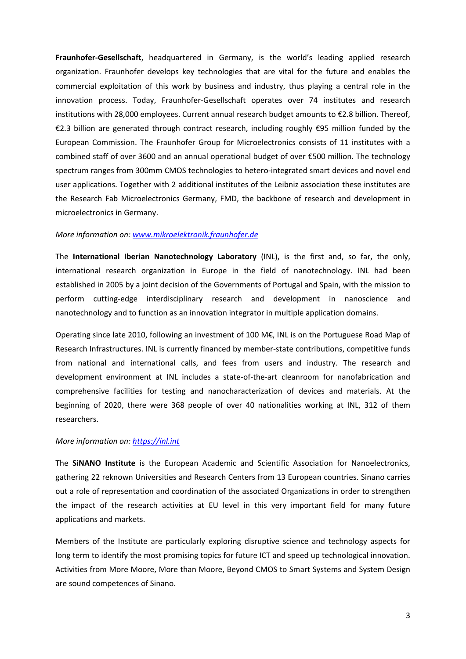**Fraunhofer-Gesellschaft**, headquartered in Germany, is the world's leading applied research organization. Fraunhofer develops key technologies that are vital for the future and enables the commercial exploitation of this work by business and industry, thus playing a central role in the innovation process. Today, Fraunhofer-Gesellschaft operates over 74 institutes and research institutions with 28,000 employees. Current annual research budget amounts to €2.8 billion. Thereof, €2.3 billion are generated through contract research, including roughly €95 million funded by the European Commission. The Fraunhofer Group for Microelectronics consists of 11 institutes with a combined staff of over 3600 and an annual operational budget of over €500 million. The technology spectrum ranges from 300mm CMOS technologies to hetero-integrated smart devices and novel end user applications. Together with 2 additional institutes of the Leibniz association these institutes are the Research Fab Microelectronics Germany, FMD, the backbone of research and development in microelectronics in Germany.

#### *More information on: www.mikroelektronik.fraunhofer.de*

The **International Iberian Nanotechnology Laboratory** (INL), is the first and, so far, the only, international research organization in Europe in the field of nanotechnology. INL had been established in 2005 by a joint decision of the Governments of Portugal and Spain, with the mission to perform cutting-edge interdisciplinary research and development in nanoscience and nanotechnology and to function as an innovation integrator in multiple application domains.

Operating since late 2010, following an investment of 100 M€, INL is on the Portuguese Road Map of Research Infrastructures. INL is currently financed by member-state contributions, competitive funds from national and international calls, and fees from users and industry. The research and development environment at INL includes a state-of-the-art cleanroom for nanofabrication and comprehensive facilities for testing and nanocharacterization of devices and materials. At the beginning of 2020, there were 368 people of over 40 nationalities working at INL, 312 of them researchers.

#### *More information on: https://inl.int*

The **SiNANO Institute** is the European Academic and Scientific Association for Nanoelectronics, gathering 22 reknown Universities and Research Centers from 13 European countries. Sinano carries out a role of representation and coordination of the associated Organizations in order to strengthen the impact of the research activities at EU level in this very important field for many future applications and markets.

Members of the Institute are particularly exploring disruptive science and technology aspects for long term to identify the most promising topics for future ICT and speed up technological innovation. Activities from More Moore, More than Moore, Beyond CMOS to Smart Systems and System Design are sound competences of Sinano.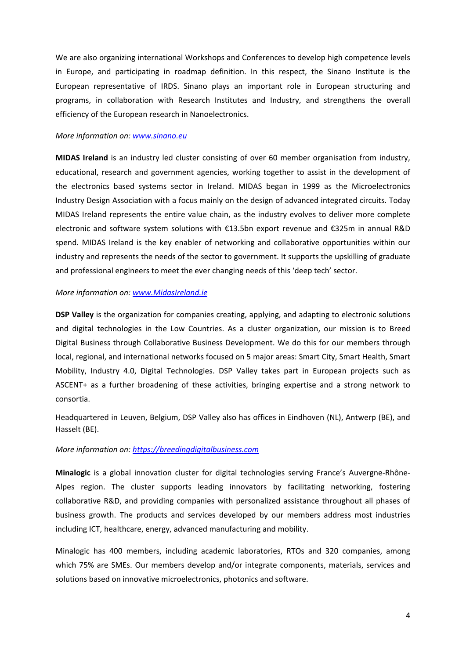We are also organizing international Workshops and Conferences to develop high competence levels in Europe, and participating in roadmap definition. In this respect, the Sinano Institute is the European representative of IRDS. Sinano plays an important role in European structuring and programs, in collaboration with Research Institutes and Industry, and strengthens the overall efficiency of the European research in Nanoelectronics.

#### *More information on: www.sinano.eu*

**MIDAS Ireland** is an industry led cluster consisting of over 60 member organisation from industry, educational, research and government agencies, working together to assist in the development of the electronics based systems sector in Ireland. MIDAS began in 1999 as the Microelectronics Industry Design Association with a focus mainly on the design of advanced integrated circuits. Today MIDAS Ireland represents the entire value chain, as the industry evolves to deliver more complete electronic and software system solutions with €13.5bn export revenue and €325m in annual R&D spend. MIDAS Ireland is the key enabler of networking and collaborative opportunities within our industry and represents the needs of the sector to government. It supports the upskilling of graduate and professional engineers to meet the ever changing needs of this 'deep tech' sector.

#### *More information on: www.MidasIreland.ie*

**DSP Valley** is the organization for companies creating, applying, and adapting to electronic solutions and digital technologies in the Low Countries. As a cluster organization, our mission is to Breed Digital Business through Collaborative Business Development. We do this for our members through local, regional, and international networks focused on 5 major areas: Smart City, Smart Health, Smart Mobility, Industry 4.0, Digital Technologies. DSP Valley takes part in European projects such as ASCENT+ as a further broadening of these activities, bringing expertise and a strong network to consortia.

Headquartered in Leuven, Belgium, DSP Valley also has offices in Eindhoven (NL), Antwerp (BE), and Hasselt (BE).

# *More information on: https://breedingdigitalbusiness.com*

**Minalogic** is a global innovation cluster for digital technologies serving France's Auvergne-Rhône-Alpes region. The cluster supports leading innovators by facilitating networking, fostering collaborative R&D, and providing companies with personalized assistance throughout all phases of business growth. The products and services developed by our members address most industries including ICT, healthcare, energy, advanced manufacturing and mobility.

Minalogic has 400 members, including academic laboratories, RTOs and 320 companies, among which 75% are SMEs. Our members develop and/or integrate components, materials, services and solutions based on innovative microelectronics, photonics and software.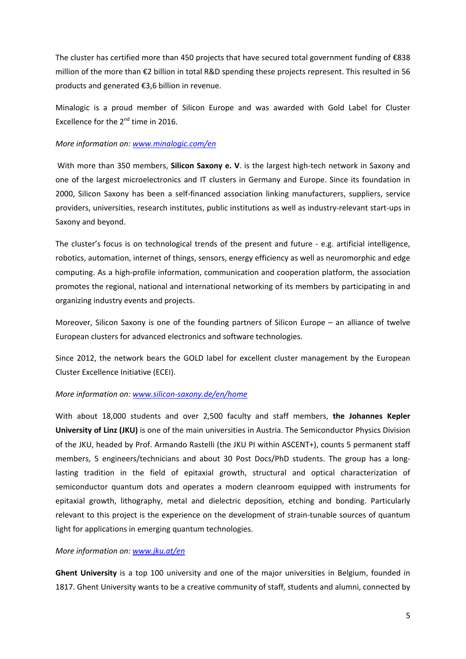The cluster has certified more than 450 projects that have secured total government funding of €838 million of the more than €2 billion in total R&D spending these projects represent. This resulted in 56 products and generated €3,6 billion in revenue.

Minalogic is a proud member of Silicon Europe and was awarded with Gold Label for Cluster Excellence for the  $2^{nd}$  time in 2016.

# *More information on: www.minalogic.com/en*

With more than 350 members, **Silicon Saxony e. V**. is the largest high-tech network in Saxony and one of the largest microelectronics and IT clusters in Germany and Europe. Since its foundation in 2000, Silicon Saxony has been a self-financed association linking manufacturers, suppliers, service providers, universities, research institutes, public institutions as well as industry-relevant start-ups in Saxony and beyond.

The cluster's focus is on technological trends of the present and future - e.g. artificial intelligence, robotics, automation, internet of things, sensors, energy efficiency as well as neuromorphic and edge computing. As a high-profile information, communication and cooperation platform, the association promotes the regional, national and international networking of its members by participating in and organizing industry events and projects.

Moreover, Silicon Saxony is one of the founding partners of Silicon Europe – an alliance of twelve European clusters for advanced electronics and software technologies.

Since 2012, the network bears the GOLD label for excellent cluster management by the European Cluster Excellence Initiative (ECEI).

# *More information on: www.silicon-saxony.de/en/home*

With about 18,000 students and over 2,500 faculty and staff members, **the Johannes Kepler University of Linz (JKU)** is one of the main universities in Austria. The Semiconductor Physics Division of the JKU, headed by Prof. Armando Rastelli (the JKU PI within ASCENT+), counts 5 permanent staff members, 5 engineers/technicians and about 30 Post Docs/PhD students. The group has a longlasting tradition in the field of epitaxial growth, structural and optical characterization of semiconductor quantum dots and operates a modern cleanroom equipped with instruments for epitaxial growth, lithography, metal and dielectric deposition, etching and bonding. Particularly relevant to this project is the experience on the development of strain-tunable sources of quantum light for applications in emerging quantum technologies.

# *More information on: www.jku.at/en*

**Ghent University** is a top 100 university and one of the major universities in Belgium, founded in 1817. Ghent University wants to be a creative community of staff, students and alumni, connected by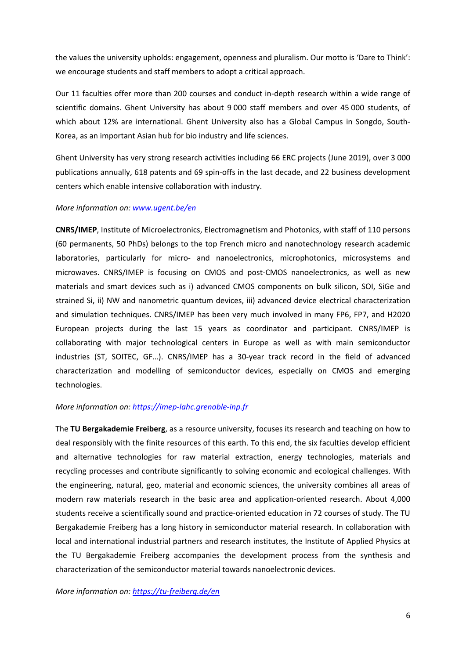the values the university upholds: engagement, openness and pluralism. Our motto is 'Dare to Think': we encourage students and staff members to adopt a critical approach.

Our 11 faculties offer more than 200 courses and conduct in-depth research within a wide range of scientific domains. Ghent University has about 9 000 staff members and over 45 000 students, of which about 12% are international. Ghent University also has a Global Campus in Songdo, South-Korea, as an important Asian hub for bio industry and life sciences.

Ghent University has very strong research activities including 66 ERC projects (June 2019), over 3 000 publications annually, 618 patents and 69 spin-offs in the last decade, and 22 business development centers which enable intensive collaboration with industry.

# *More information on: www.ugent.be/en*

**CNRS/IMEP**, Institute of Microelectronics, Electromagnetism and Photonics, with staff of 110 persons (60 permanents, 50 PhDs) belongs to the top French micro and nanotechnology research academic laboratories, particularly for micro- and nanoelectronics, microphotonics, microsystems and microwaves. CNRS/IMEP is focusing on CMOS and post-CMOS nanoelectronics, as well as new materials and smart devices such as i) advanced CMOS components on bulk silicon, SOI, SiGe and strained Si, ii) NW and nanometric quantum devices, iii) advanced device electrical characterization and simulation techniques. CNRS/IMEP has been very much involved in many FP6, FP7, and H2020 European projects during the last 15 years as coordinator and participant. CNRS/IMEP is collaborating with major technological centers in Europe as well as with main semiconductor industries (ST, SOITEC, GF…). CNRS/IMEP has a 30-year track record in the field of advanced characterization and modelling of semiconductor devices, especially on CMOS and emerging technologies.

# *More information on: https://imep-lahc.grenoble-inp.fr*

The **TU Bergakademie Freiberg**, as a resource university, focuses its research and teaching on how to deal responsibly with the finite resources of this earth. To this end, the six faculties develop efficient and alternative technologies for raw material extraction, energy technologies, materials and recycling processes and contribute significantly to solving economic and ecological challenges. With the engineering, natural, geo, material and economic sciences, the university combines all areas of modern raw materials research in the basic area and application-oriented research. About 4,000 students receive a scientifically sound and practice-oriented education in 72 courses of study. The TU Bergakademie Freiberg has a long history in semiconductor material research. In collaboration with local and international industrial partners and research institutes, the Institute of Applied Physics at the TU Bergakademie Freiberg accompanies the development process from the synthesis and characterization of the semiconductor material towards nanoelectronic devices.

*More information on: https://tu-freiberg.de/en*